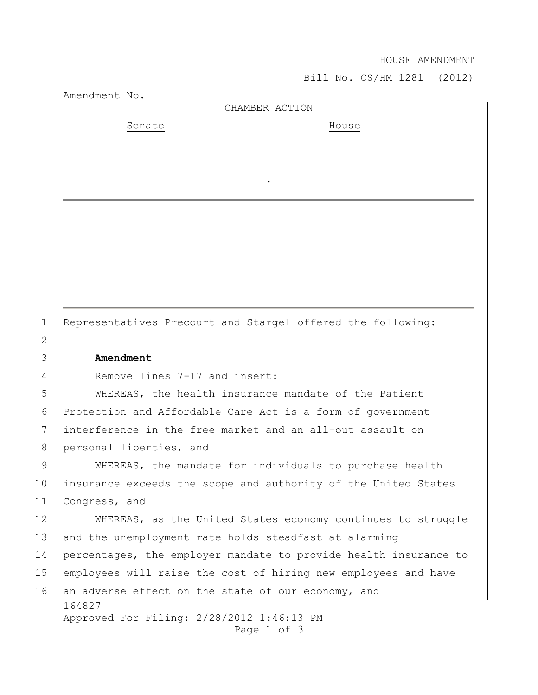### HOUSE AMENDMENT

Bill No. CS/HM 1281 (2012)

Amendment No.

### CHAMBER ACTION

.

Senate House

1 Representatives Precourt and Stargel offered the following:

# 3 **Amendment**

2

4 Remove lines 7-17 and insert:

5 WHEREAS, the health insurance mandate of the Patient 6 Protection and Affordable Care Act is a form of government 7 interference in the free market and an all-out assault on 8 personal liberties, and

9 WHEREAS, the mandate for individuals to purchase health 10 insurance exceeds the scope and authority of the United States 11 Congress, and

164827 Approved For Filing: 2/28/2012 1:46:13 PM Page 1 of 3 12 WHEREAS, as the United States economy continues to struggle 13 and the unemployment rate holds steadfast at alarming 14 percentages, the employer mandate to provide health insurance to 15 employees will raise the cost of hiring new employees and have 16 an adverse effect on the state of our economy, and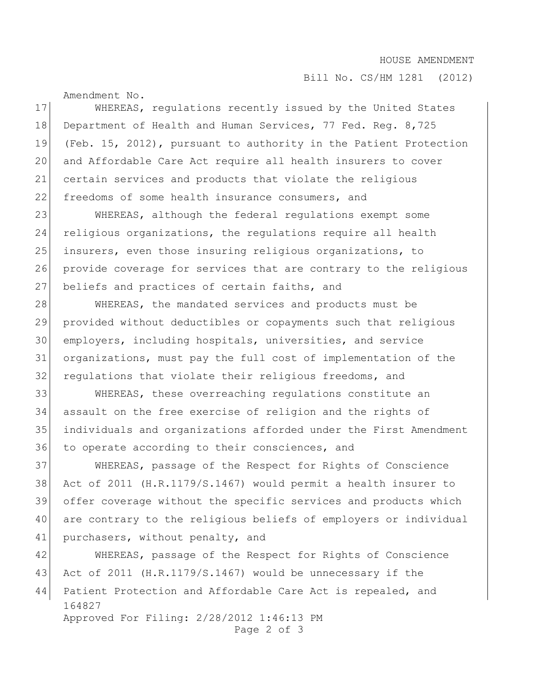### HOUSE AMENDMENT

Bill No. CS/HM 1281 (2012)

Amendment No.

17 WHEREAS, regulations recently issued by the United States 18 Department of Health and Human Services, 77 Fed. Reg. 8,725 19 (Feb. 15, 2012), pursuant to authority in the Patient Protection 20 and Affordable Care Act require all health insurers to cover 21 certain services and products that violate the religious 22 freedoms of some health insurance consumers, and

23 WHEREAS, although the federal regulations exempt some 24 religious organizations, the regulations require all health 25 insurers, even those insuring religious organizations, to 26 provide coverage for services that are contrary to the religious 27 beliefs and practices of certain faiths, and

28 WHEREAS, the mandated services and products must be 29 provided without deductibles or copayments such that religious 30 employers, including hospitals, universities, and service 31 organizations, must pay the full cost of implementation of the 32 regulations that violate their religious freedoms, and

33 | WHEREAS, these overreaching requlations constitute an assault on the free exercise of religion and the rights of individuals and organizations afforded under the First Amendment to operate according to their consciences, and

 WHEREAS, passage of the Respect for Rights of Conscience Act of 2011 (H.R.1179/S.1467) would permit a health insurer to offer coverage without the specific services and products which are contrary to the religious beliefs of employers or individual 41 purchasers, without penalty, and

164827 Approved For Filing: 2/28/2012 1:46:13 PM Page 2 of 3 42 WHEREAS, passage of the Respect for Rights of Conscience 43 Act of 2011 (H.R.1179/S.1467) would be unnecessary if the 44 Patient Protection and Affordable Care Act is repealed, and